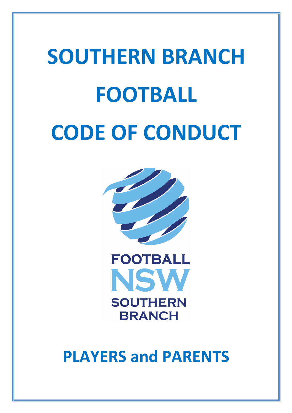# **SOUTHERN BRANCH FOOTBALL CODE OF CONDUCT**





**PLAYERS and PARENTS**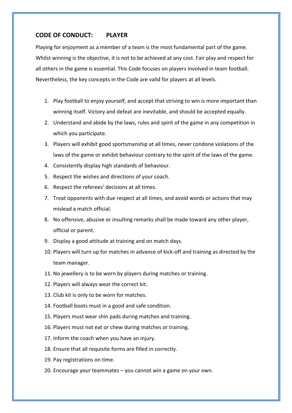# **CODE OF CONDUCT: PLAYER**

Playing for enjoyment as a member of a team is the most fundamental part of the game. Whilst winning is the objective, it is not to be achieved at any cost. Fair play and respect for all others in the game is essential. This Code focuses on players involved in team football. Nevertheless, the key concepts in the Code are valid for players at all levels.

- 1. Play football to enjoy yourself, and accept that striving to win is more important than winning itself. Victory and defeat are inevitable, and should be accepted equally.
- 2. Understand and abide by the laws, rules and spirit of the game in any competition in which you participate.
- 3. Players will exhibit good sportsmanship at all times, never condone violations of the laws of the game or exhibit behaviour contrary to the spirit of the laws of the game.
- 4. Consistently display high standards of behaviour.
- 5. Respect the wishes and directions of your coach.
- 6. Respect the referees' decisions at all times.
- 7. Treat opponents with due respect at all times, and avoid words or actions that may mislead a match official.
- 8. No offensive, abusive or insulting remarks shall be made toward any other player, official or parent.
- 9. Display a good attitude at training and on match days.
- 10. Players will turn up for matches in advance of kick-off and training as directed by the team manager.
- 11. No jewellery is to be worn by players during matches or training.
- 12. Players will always wear the correct kit.
- 13. Club kit is only to be worn for matches.
- 14. Football boots must in a good and safe condition.
- 15. Players must wear shin pads during matches and training.
- 16. Players must not eat or chew during matches or training.
- 17. Inform the coach when you have an injury.
- 18. Ensure that all requisite forms are filled in correctly.
- 19. Pay registrations on time.
- 20. Encourage your teammates you cannot win a game on your own.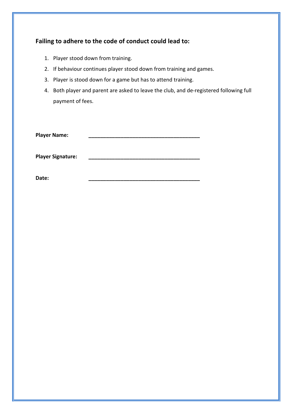| Failing to adhere to the code of conduct could lead to: |                          |                                                                                         |
|---------------------------------------------------------|--------------------------|-----------------------------------------------------------------------------------------|
|                                                         |                          | 1. Player stood down from training.                                                     |
|                                                         |                          | 2. If behaviour continues player stood down from training and games.                    |
|                                                         |                          | 3. Player is stood down for a game but has to attend training.                          |
|                                                         |                          | 4. Both player and parent are asked to leave the club, and de-registered following full |
|                                                         |                          | payment of fees.                                                                        |
|                                                         |                          |                                                                                         |
|                                                         |                          |                                                                                         |
| <b>Player Name:</b>                                     |                          |                                                                                         |
|                                                         |                          |                                                                                         |
|                                                         | <b>Player Signature:</b> |                                                                                         |
|                                                         |                          |                                                                                         |
|                                                         | Date:                    |                                                                                         |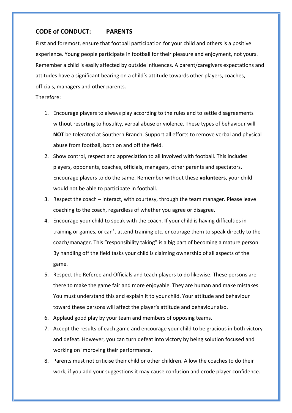# **CODE of CONDUCT: PARENTS**

First and foremost, ensure that football participation for your child and others is a positive experience. Young people participate in football for their pleasure and enjoyment, not yours. Remember a child is easily affected by outside influences. A parent/caregivers expectations and attitudes have a significant bearing on a child's attitude towards other players, coaches, officials, managers and other parents.

### Therefore:

- 1. Encourage players to always play according to the rules and to settle disagreements without resorting to hostility, verbal abuse or violence. These types of behaviour will **NOT** be tolerated at Southern Branch. Support all efforts to remove verbal and physical abuse from football, both on and off the field.
- 2. Show control, respect and appreciation to all involved with football. This includes players, opponents, coaches, officials, managers, other parents and spectators. Encourage players to do the same. Remember without these **volunteers**, your child would not be able to participate in football.
- 3. Respect the coach interact, with courtesy, through the team manager. Please leave coaching to the coach, regardless of whether you agree or disagree.
- 4. Encourage your child to speak with the coach. If your child is having difficulties in training or games, or can't attend training etc. encourage them to speak directly to the coach/manager. This "responsibility taking" is a big part of becoming a mature person. By handling off the field tasks your child is claiming ownership of all aspects of the game.
- 5. Respect the Referee and Officials and teach players to do likewise. These persons are there to make the game fair and more enjoyable. They are human and make mistakes. You must understand this and explain it to your child. Your attitude and behaviour toward these persons will affect the player's attitude and behaviour also.
- 6. Applaud good play by your team and members of opposing teams.
- 7. Accept the results of each game and encourage your child to be gracious in both victory and defeat. However, you can turn defeat into victory by being solution focused and working on improving their performance.
- 8. Parents must not criticise their child or other children. Allow the coaches to do their work, if you add your suggestions it may cause confusion and erode player confidence.